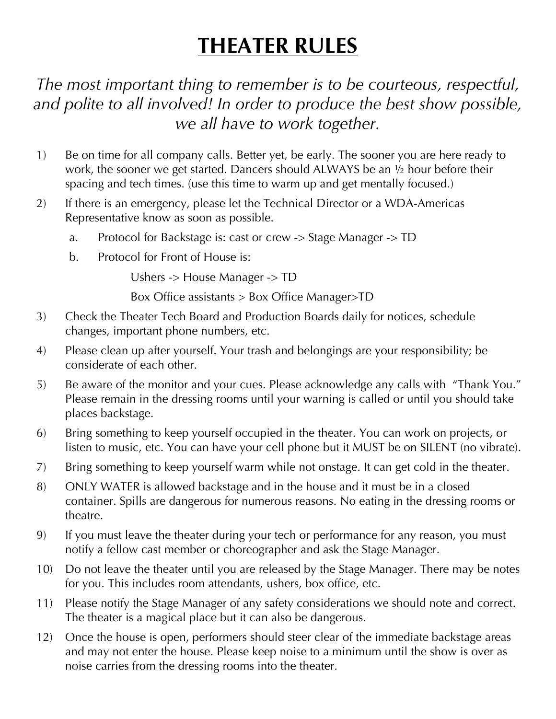## **THEATER RULES**

*The most important thing to remember is to be courteous, respectful, and polite to all involved! In order to produce the best show possible, we all have to work together.*

- 1) Be on time for all company calls. Better yet, be early. The sooner you are here ready to work, the sooner we get started. Dancers should ALWAYS be an ½ hour before their spacing and tech times. (use this time to warm up and get mentally focused.)
- 2) If there is an emergency, please let the Technical Director or a WDA-Americas Representative know as soon as possible.
	- a. Protocol for Backstage is: cast or crew -> Stage Manager -> TD
	- b. Protocol for Front of House is:

Ushers -> House Manager -> TD

Box Office assistants > Box Office Manager>TD

- 3) Check the Theater Tech Board and Production Boards daily for notices, schedule changes, important phone numbers, etc.
- 4) Please clean up after yourself. Your trash and belongings are your responsibility; be considerate of each other.
- 5) Be aware of the monitor and your cues. Please acknowledge any calls with "Thank You." Please remain in the dressing rooms until your warning is called or until you should take places backstage.
- 6) Bring something to keep yourself occupied in the theater. You can work on projects, or listen to music, etc. You can have your cell phone but it MUST be on SILENT (no vibrate).
- 7) Bring something to keep yourself warm while not onstage. It can get cold in the theater.
- 8) ONLY WATER is allowed backstage and in the house and it must be in a closed container. Spills are dangerous for numerous reasons. No eating in the dressing rooms or theatre.
- 9) If you must leave the theater during your tech or performance for any reason, you must notify a fellow cast member or choreographer and ask the Stage Manager.
- 10) Do not leave the theater until you are released by the Stage Manager. There may be notes for you. This includes room attendants, ushers, box office, etc.
- 11) Please notify the Stage Manager of any safety considerations we should note and correct. The theater is a magical place but it can also be dangerous.
- 12) Once the house is open, performers should steer clear of the immediate backstage areas and may not enter the house. Please keep noise to a minimum until the show is over as noise carries from the dressing rooms into the theater.